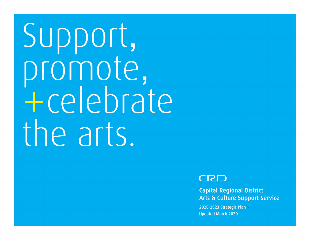Support,<br>promote, +celebrate the arts. Capital Regional District



**2021 Capital Regional District** Arts & Culture Support Service I

I

I

2020-2023 Strategic Plan > **Updated March 2020**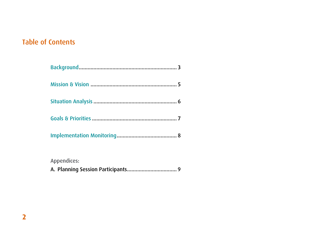# Table of Contents

Appendices:

|--|--|--|--|--|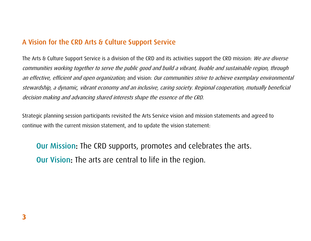## A Vision for the CRD Arts & Culture Support Service

The Arts & Culture Support Service is a division of the CRD and its activities support the CRD mission: We are diverse communities working together to serve the public good and build a vibrant, livable and sustainable region, through an effective, efficient and open organization; and vision: Our communities strive to achieve exemplary environmental stewardship, a dynamic, vibrant economy and an inclusive, caring society. Regional cooperation, mutually beneficial decision making and advancing shared interests shape the essence of the CRD.

Strategic planning session participants revisited the Arts Service vision and mission statements and agreed to continue with the current mission statement, and to update the vision statement:

Our Mission: The CRD supports, promotes and celebrates the arts. Our Vision: The arts are central to life in the region.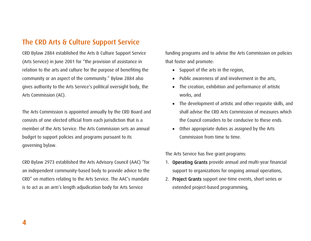## The CRD Arts & Culture Support Service

CRD Bylaw 2884 established the Arts & Culture Support Service (Arts Service) in June 2001 for "the provision of assistance in relation to the arts and culture for the purpose of benefiting the community or an aspect of the community." Bylaw 2884 also gives authority to the Arts Service's political oversight body, the Arts Commission (AC).

The Arts Commission is appointed annually by the CRD Board and consists of one elected official from each jurisdiction that is a member of the Arts Service. The Arts Commission sets an annual budget to support policies and programs pursuant to its governing bylaw.

CRD Bylaw 2973 established the Arts Advisory Council (AAC) "for an independent community-based body to provide advice to the CRD" on matters relating to the Arts Service. The AAC's mandate is to act as an arm's length adjudication body for Arts Service

funding programs and to advise the Arts Commission on policies that foster and promote:

- Support of the arts in the region,
- Public awareness of and involvement in the arts,
- The creation, exhibition and performance of artistic works, and
- The development of artistic and other requisite skills, and shall advise the CRD Arts Commission of measures which the Council considers to be conducive to these ends.
- Other appropriate duties as assigned by the Arts Commission from time to time.

The Arts Service has five grant programs:

- 1. Operating Grants provide annual and multi-year financial support to organizations for ongoing annual operations,
- 2. Project Grants support one-time events, short series or extended project-based programming,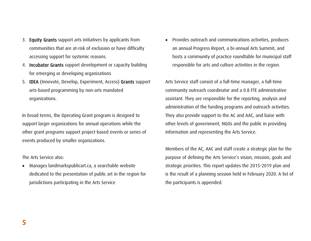- 3. Equity Grants support arts initiatives by applicants from communities that are at-risk of exclusion or have difficulty accessing support for systemic reasons.
- 4. Incubator Grants support development or capacity building for emerging or developing organizations
- 5. IDEA (Innovate, Develop, Experiment, Access) Grants support arts-based programming by non-arts mandated organizations.

In broad terms, the Operating Grant program is designed to support larger organizations for annual operations while the other grant programs support project-based events or series of events produced by smaller organizations.

The Arts Service also:

• Manages landmarkspublicart.ca, a searchable website dedicated to the presentation of public art in the region for jurisdictions participating in the Arts Service

• Provides outreach and communications activities, produces an annual Progress Report, a bi-annual Arts Summit, and hosts a community of practice roundtable for municipal staff responsible for arts and culture activities in the region.

Arts Service staff consist of a full-time manager, a full-time community outreach coordinator and a 0.8 FTE administrative assistant. They are responsible for the reporting, analysis and administration of the funding programs and outreach activities. They also provide support to the AC and AAC, and liaise with other levels of government, NGOs and the public in providing information and representing the Arts Service.

Members of the AC, AAC and staff create a strategic plan for the purpose of defining the Arts Service's vision, mission, goals and strategic priorities. This report updates the 2015-2019 plan and is the result of a planning session held in February 2020. A list of the participants is appended.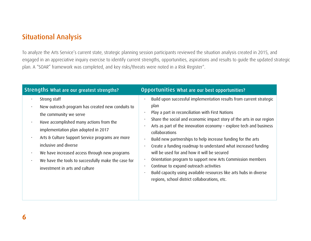# Situational Analysis

To analyze the Arts Service's current state, strategic planning session participants reviewed the situation analysis created in 2015, and engaged in an appreciative inquiry exercise to identify current strengths, opportunities, aspirations and results to guide the updated strategic plan. A "SOAR" framework was completed, and key risks/threats were noted in a Risk Register\*.

| Strengths What are our greatest strengths?                                                                                                                                                                                                                                                                                                                                                                                                                                        | <b>Opportunities What are our best opportunities?</b>                                                                                                                                                                                                                                                                                                                                                                                                                                                                                                                                                                                                                                                                                                                                                                  |
|-----------------------------------------------------------------------------------------------------------------------------------------------------------------------------------------------------------------------------------------------------------------------------------------------------------------------------------------------------------------------------------------------------------------------------------------------------------------------------------|------------------------------------------------------------------------------------------------------------------------------------------------------------------------------------------------------------------------------------------------------------------------------------------------------------------------------------------------------------------------------------------------------------------------------------------------------------------------------------------------------------------------------------------------------------------------------------------------------------------------------------------------------------------------------------------------------------------------------------------------------------------------------------------------------------------------|
| Strong staff<br>$\bullet$<br>New outreach program has created new conduits to<br>$\bullet$<br>the community we serve<br>Have accomplished many actions from the<br>$\bullet$<br>implementation plan adopted in 2017<br>Arts & Culture Support Service programs are more<br>$\bullet$<br>inclusive and diverse<br>We have increased access through new programs<br>$\bullet$<br>We have the tools to successfully make the case for<br>$\bullet$<br>investment in arts and culture | Build upon successful implementation results from current strategic<br>$\bullet$<br>plan<br>Play a part in reconciliation with First Nations<br>$\bullet$<br>Share the social and economic impact story of the arts in our region<br>$\bullet$<br>Arts as part of the innovation economy - explore tech and business<br>collaborations<br>Build new partnerships to help increase funding for the arts<br>$\bullet$<br>Create a funding roadmap to understand what increased funding<br>$\bullet$<br>will be used for and how it will be secured<br>Orientation program to support new Arts Commission members<br>$\bullet$<br>Continue to expand outreach activities<br>$\bullet$<br>Build capacity using available resources like arts hubs in diverse<br>$\bullet$<br>regions, school district collaborations, etc. |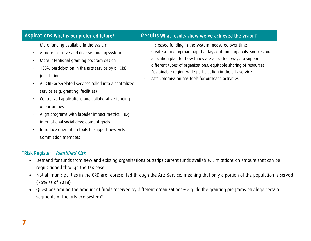| Aspirations What is our preferred future?                                                                                                                                                                                                                                                                                                                                                                                                                                                                                                                                                                                                                               | Results What results show we've achieved the vision?                                                                                                                                                                                                                                                                                                                          |  |
|-------------------------------------------------------------------------------------------------------------------------------------------------------------------------------------------------------------------------------------------------------------------------------------------------------------------------------------------------------------------------------------------------------------------------------------------------------------------------------------------------------------------------------------------------------------------------------------------------------------------------------------------------------------------------|-------------------------------------------------------------------------------------------------------------------------------------------------------------------------------------------------------------------------------------------------------------------------------------------------------------------------------------------------------------------------------|--|
| More funding available in the system<br>$\bullet$<br>A more inclusive and diverse funding system<br>$\bullet$<br>More intentional granting program design<br>$\bullet$<br>100% participation in the arts service by all CRD<br>$\bullet$<br>jurisdictions<br>All CRD arts-related services rolled into a centralized<br>$\bullet$<br>service (e.g. granting, facilities)<br>Centralized applications and collaborative funding<br>$\bullet$<br>opportunities<br>Align programs with broader impact metrics $-$ e.g.<br>$\bullet$<br>international social development goals<br>Introduce orientation tools to support new Arts<br>$\bullet$<br><b>Commission members</b> | Increased funding in the system measured over time<br>Create a funding roadmap that lays out funding goals, sources and<br>allocation plan for how funds are allocated, ways to support<br>different types of organizations, equitable sharing of resources<br>Sustainable region-wide participation in the arts service<br>Arts Commission has tools for outreach activities |  |

#### \*Risk Register - Identified Risk

- Demand for funds from new and existing organizations outstrips current funds available. Limitations on amount that can be requisitioned through the tax base
- Not all municipalities in the CRD are represented through the Arts Service, meaning that only a portion of the population is served (76% as of 2018)
- Questions around the amount of funds received by different organizations e.g. do the granting programs privilege certain segments of the arts eco-system?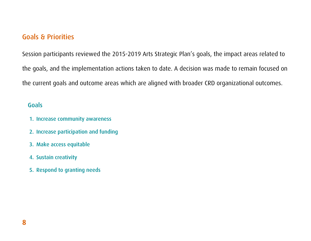# Goals & Priorities

Session participants reviewed the 2015-2019 Arts Strategic Plan's goals, the impact areas related to the goals, and the implementation actions taken to date. A decision was made to remain focused on the current goals and outcome areas which are aligned with broader CRD organizational outcomes.

#### Goals

- 1. Increase community awareness
- 2. Increase participation and funding
- 3. Make access equitable
- 4. Sustain creativity
- 5. Respond to granting needs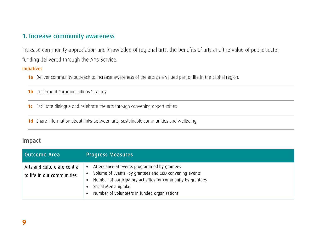#### 1. Increase community awareness

Increase community appreciation and knowledge of regional arts, the benefits of arts and the value of public sector funding delivered through the Arts Service.

#### Initiatives

**1a** Deliver community outreach to increase awareness of the arts as a valued part of life in the capital region.

**1b** Implement Communications Strategy

**1c** Facilitate dialogue and celebrate the arts through convening opportunities

**1d** Share information about links between arts, sustainable communities and wellbeing

| Outcome Area                                               | <b>Progress Measures</b>                                                                                                                                                                                                                         |
|------------------------------------------------------------|--------------------------------------------------------------------------------------------------------------------------------------------------------------------------------------------------------------------------------------------------|
| Arts and culture are central<br>to life in our communities | Attendance at events programmed by grantees<br>Volume of Events -by grantees and CRD convening events<br>• Number of participatory activities for community by grantees<br>Social Media uptake<br>• Number of volunteers in funded organizations |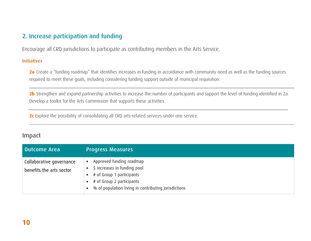## 2. Increase participation and funding

Encourage all CRD jurisdictions to participate as contributing members in the Arts Service.

#### Initiatives

**2a** Create a "funding roadmap" that identifies increases in funding in accordance with community need as well as the funding sources required to meet these goals, including considering funding support outside of municipal requisition.

**2b** Strengthen and expand partnership activities to increase the number of participants and support the level of funding identified in 2a. Develop a toolkit for the Arts Commission that supports these activities.

**2c** Explore the possibility of consolidating all CRD arts-related services under one service.

| Outcome Area                                         | <b>Progress Measures</b>                                                                                                                                                   |
|------------------------------------------------------|----------------------------------------------------------------------------------------------------------------------------------------------------------------------------|
| Collaborative governance<br>benefits the arts sector | Approved funding roadmap<br>\$ increases in funding pool<br># of Group 1 participants<br># of Group 2 participants<br>% of population living in contributing jurisdictions |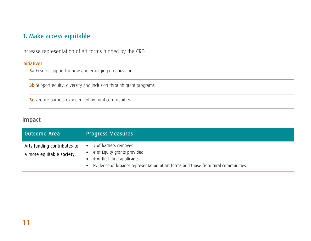## 3. Make access equitable

Increase representation of art forms funded by the CRD

#### Initiatives

**3a** Ensure support for new and emerging organizations.

**3b** Support equity, diversity and inclusion through grant programs.

**3c** Reduce barriers experienced by rural communities.

| Outcome Area                                             | <b>Progress Measures</b>                                                                                                                                               |
|----------------------------------------------------------|------------------------------------------------------------------------------------------------------------------------------------------------------------------------|
| Arts funding contributes to<br>a more equitable society. | # of barriers removed<br># of Equity grants provided<br># of first time applicants<br>Evidence of broader representation of art forms and those from rural communities |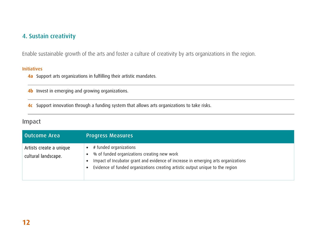## 4. Sustain creativity

Enable sustainable growth of the arts and foster a culture of creativity by arts organizations in the region.

#### Initiatives

**4a** Support arts organizations in fulfilling their artistic mandates.

**4b** Invest in emerging and growing organizations.

**4c** Support innovation through a funding system that allows arts organizations to take risks.

| Outcome Area                                   | <b>Progress Measures</b>                                                                                                                                                                                                                     |
|------------------------------------------------|----------------------------------------------------------------------------------------------------------------------------------------------------------------------------------------------------------------------------------------------|
| Artists create a unique<br>cultural landscape. | # funded organizations<br>% of funded organizations creating new work<br>Impact of Incubator grant and evidence of increase in emerging arts organizations<br>Evidence of funded organizations creating artistic output unique to the region |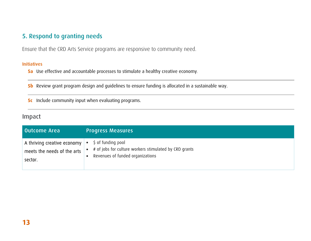## 5. Respond to granting needs

Ensure that the CRD Arts Service programs are responsive to community need.

#### Initiatives

**5a** Use effective and accountable processes to stimulate a healthy creative economy.

**5b** Review grant program design and guidelines to ensure funding is allocated in a sustainable way.

**5c** Include community input when evaluating programs.

| Outcome Area                     | <b>Progress Measures</b>                               |
|----------------------------------|--------------------------------------------------------|
| A thriving creative economy $\ $ | \$ of funding pool                                     |
| meets the needs of the arts      | # of jobs for culture workers stimulated by CRD grants |
| sector.                          | Revenues of funded organizations                       |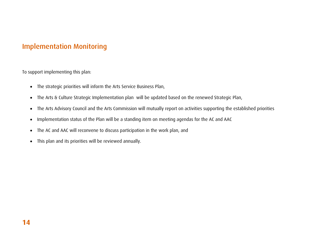# Implementation Monitoring

To support implementing this plan:

- The strategic priorities will inform the Arts Service Business Plan,
- The Arts & Culture Strategic Implementation plan will be updated based on the renewed Strategic Plan,
- The Arts Advisory Council and the Arts Commission will mutually report on activities supporting the established priorities
- Implementation status of the Plan will be a standing item on meeting agendas for the AC and AAC
- The AC and AAC will reconvene to discuss participation in the work plan, and
- This plan and its priorities will be reviewed annually.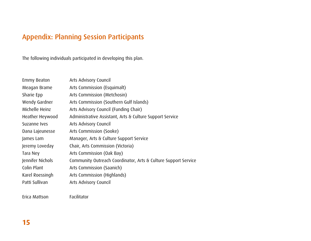# Appendix: Planning Session Participants

The following individuals participated in developing this plan.

| <b>Emmy Beaton</b> | Arts Advisory Council                                          |
|--------------------|----------------------------------------------------------------|
| Meagan Brame       | Arts Commission (Esquimalt)                                    |
| Sharie Epp         | Arts Commission (Metchosin)                                    |
| Wendy Gardner      | Arts Commission (Southern Gulf Islands)                        |
| Michelle Heinz     | Arts Advisory Council (Funding Chair)                          |
| Heather Heywood    | Administrative Assistant, Arts & Culture Support Service       |
| Suzanne Ives       | Arts Advisory Council                                          |
| Dana Lajeunesse    | Arts Commission (Sooke)                                        |
| James Lam          | Manager, Arts & Culture Support Service                        |
| Jeremy Loveday     | Chair, Arts Commission (Victoria)                              |
| Tara Ney           | Arts Commission (Oak Bay)                                      |
| Jennifer Nichols   | Community Outreach Coordinator, Arts & Culture Support Service |
| Colin Plant        | Arts Commission (Saanich)                                      |
| Karel Roessingh    | Arts Commission (Highlands)                                    |
| Patti Sullivan     | Arts Advisory Council                                          |

Erica Mattson Facilitator